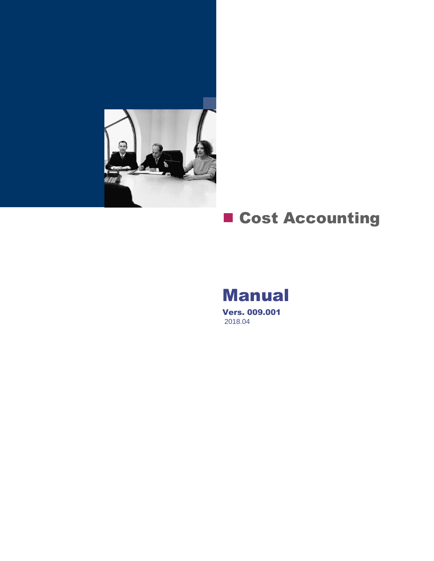

# **E** Cost Accounting

# Manual

Vers. 009.001 2018.04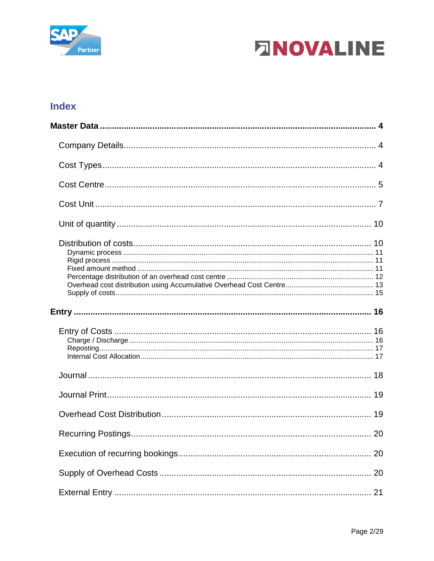



# **Index**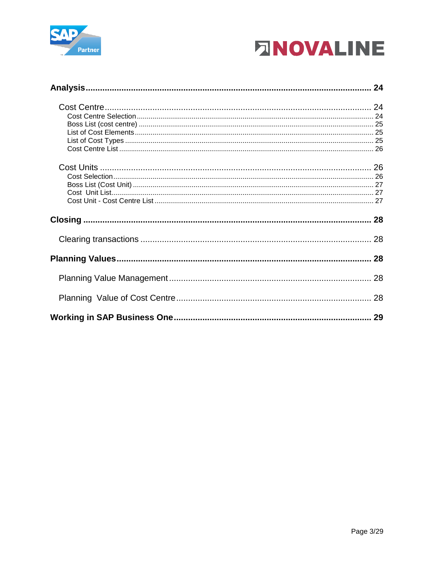

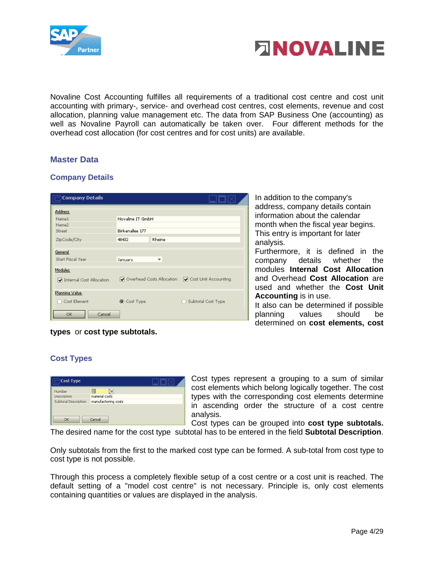



Novaline Cost Accounting fulfilles all requirements of a traditional cost centre and cost unit accounting with primary-, service- and overhead cost centres, cost elements, revenue and cost allocation, planning value management etc. The data from SAP Business One (accounting) as well as Novaline Payroll can automatically be taken over. Four different methods for the overhead cost allocation (for cost centres and for cost units) are available.

# <span id="page-3-0"></span>**Master Data**

#### <span id="page-3-1"></span>**Company Details**

| <b>Company Details</b>   |                           |                          |                          |
|--------------------------|---------------------------|--------------------------|--------------------------|
| Address                  |                           |                          |                          |
| Name1                    | Novaline IT GmbH          |                          |                          |
| Name2                    |                           |                          |                          |
| Street                   | Birkenallee 177           |                          |                          |
| ZipCode/City             | 48432                     | Rheine                   |                          |
|                          |                           |                          |                          |
| General                  |                           |                          |                          |
| Start Fiscal Year        | January                   | $\overline{\phantom{a}}$ |                          |
| <b>Modules</b>           |                           |                          |                          |
| Internal Cost Allocation | Overhead Costs Allocation |                          | Cost Unit Accounting     |
| Planning Value           |                           |                          |                          |
| ◯ Cost Element           | Cost Type                 |                          | Subtotal Cost Type<br>rγ |
| Cancel<br>ОК             |                           |                          |                          |

In addition to the company's address, company details contain information about the calendar month when the fiscal year begins. This entry is important for later analysis.

Furthermore, it is defined in the company details whether the modules **Internal Cost Allocation**  and Overhead **Cost Allocation** are used and whether the **Cost Unit Accounting** is in use.

It also can be determined if possible planning values should be determined on **cost elements, cost** 

#### **types** or **cost type subtotals.**

#### <span id="page-3-2"></span>**Cost Types**

| Cost Type            |                     |  |
|----------------------|---------------------|--|
| Number               | ⋿                   |  |
| Description          | material costs      |  |
| Subtotal Description | manufactoring costs |  |
| OK                   | Cancel              |  |

Cost types represent a grouping to a sum of similar cost elements which belong logically together. The cost types with the corresponding cost elements determine in ascending order the structure of a cost centre analysis.

Cost types can be grouped into **cost type subtotals.**

The desired name for the cost type subtotal has to be entered in the field **Subtotal Description**.

Only subtotals from the first to the marked cost type can be formed. A sub-total from cost type to cost type is not possible.

Through this process a completely flexible setup of a cost centre or a cost unit is reached. The default setting of a "model cost centre" is not necessary. Principle is, only cost elements containing quantities or values are displayed in the analysis.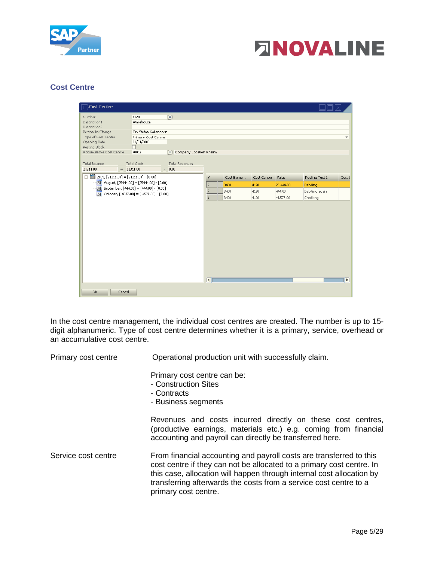



#### <span id="page-4-0"></span>**Cost Centre**

| Cost Centre                                   |                                                |                                  |                          |              |             |             |                |                          |
|-----------------------------------------------|------------------------------------------------|----------------------------------|--------------------------|--------------|-------------|-------------|----------------|--------------------------|
| Number                                        | 4120                                           | $\textcircled{\scriptsize{}}$    |                          |              |             |             |                |                          |
| Description1                                  | Warehouse                                      |                                  |                          |              |             |             |                |                          |
| Description2<br>Person In Charge              | Mr. Stefan Kaltenborn                          |                                  |                          |              |             |             |                |                          |
| Type of Cost Centre                           | Primary Cost Centre                            |                                  |                          |              |             |             |                | $\overline{\phantom{a}}$ |
| Opening Date                                  | 01/01/2009                                     |                                  |                          |              |             |             |                |                          |
| Posting Block                                 | □                                              |                                  |                          |              |             |             |                |                          |
| Accumulative Cost Centre                      | 70012                                          | $\equiv$ Company Location Rheine |                          |              |             |             |                |                          |
| <b>Total Balance</b><br>21311.00              | <b>Total Costs</b><br>$= 21311.00$             | <b>Total Revenues</b><br>$-0.00$ |                          |              |             |             |                |                          |
| $\Box$ 2009, [21311.00] = [21311.00] - [0.00] |                                                |                                  | #                        | Cost Element | Cost Centre | Value       | Posting Text 1 | Cost L                   |
| $31$ August, [25444.00] = [25444.00] - [0.00] |                                                |                                  | $\mathbf{1}$             | 3400         | 4120        | 25.444,00   | Debiting       |                          |
| $31$ September, [444.00] = [444.00] - [0.00]  |                                                |                                  | $\overline{2}$           | 3400         | 4120        | 444,00      | Debiting again |                          |
|                                               | 31 October, $[-4577.00] = [-4577.00] - [0.00]$ |                                  | $\overline{\phantom{a}}$ | 3400         | 4120        | $-4.577.00$ | Crediting      |                          |
|                                               |                                                |                                  | $\blacksquare$           |              |             |             |                | $\blacktriangleright$    |
|                                               |                                                |                                  |                          |              |             |             |                |                          |
| OK.<br>Cancel                                 |                                                |                                  |                          |              |             |             |                |                          |

In the cost centre management, the individual cost centres are created. The number is up to 15 digit alphanumeric. Type of cost centre determines whether it is a primary, service, overhead or an accumulative cost centre.

Primary cost centre **Operational production unit with successfully claim.** 

|                     | Primary cost centre can be:<br>- Construction Sites<br>- Contracts<br>- Business segments                                                                                                                                                                                                                          |
|---------------------|--------------------------------------------------------------------------------------------------------------------------------------------------------------------------------------------------------------------------------------------------------------------------------------------------------------------|
|                     | Revenues and costs incurred directly on these cost centres,<br>(productive earnings, materials etc.) e.g. coming from financial<br>accounting and payroll can directly be transferred here.                                                                                                                        |
| Service cost centre | From financial accounting and payroll costs are transferred to this<br>cost centre if they can not be allocated to a primary cost centre. In<br>this case, allocation will happen through internal cost allocation by<br>transferring afterwards the costs from a service cost centre to a<br>primary cost centre. |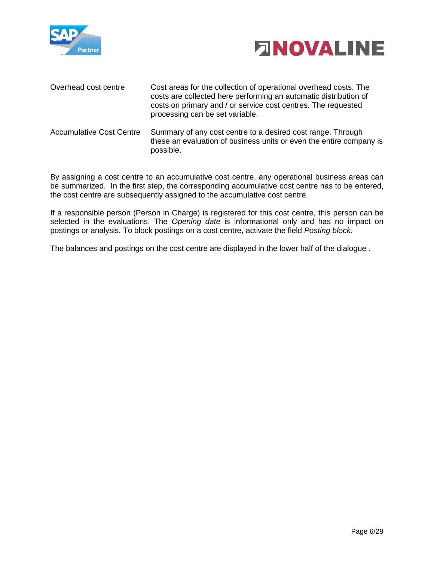



| Overhead cost centre            | Cost areas for the collection of operational overhead costs. The<br>costs are collected here performing an automatic distribution of<br>costs on primary and / or service cost centres. The requested<br>processing can be set variable. |
|---------------------------------|------------------------------------------------------------------------------------------------------------------------------------------------------------------------------------------------------------------------------------------|
| <b>Accumulative Cost Centre</b> | Summary of any cost centre to a desired cost range. Through<br>these an evaluation of business units or even the entire company is<br>possible.                                                                                          |

By assigning a cost centre to an accumulative cost centre, any operational business areas can be summarized. In the first step, the corresponding accumulative cost centre has to be entered, the cost centre are subsequently assigned to the accumulative cost centre.

If a responsible person (Person in Charge) is registered for this cost centre, this person can be selected in the evaluations. The *Opening date* is informational only and has no impact on postings or analysis. To block postings on a cost centre, activate the field *Posting block.*

The balances and postings on the cost centre are displayed in the lower half of the dialogue .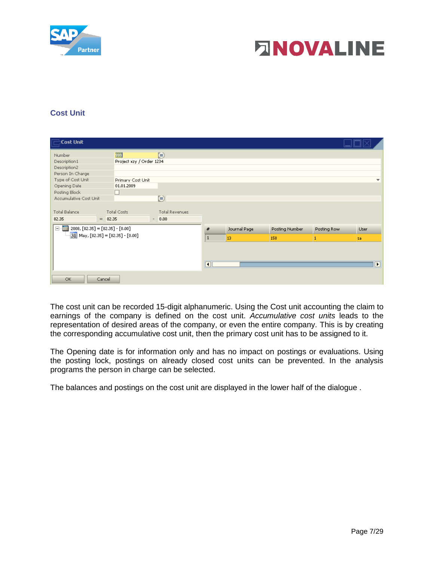



# <span id="page-6-0"></span>**Cost Unit**

| $\Box$ Cost Unit                                                                                                                                      |                                 |                                  |                |              |                |             |                |
|-------------------------------------------------------------------------------------------------------------------------------------------------------|---------------------------------|----------------------------------|----------------|--------------|----------------|-------------|----------------|
| Number                                                                                                                                                | 999                             | $\equiv$                         |                |              |                |             |                |
| Description1                                                                                                                                          | Project xzy / Order 1234        |                                  |                |              |                |             |                |
| Description2                                                                                                                                          |                                 |                                  |                |              |                |             |                |
| Person In Charge                                                                                                                                      |                                 |                                  |                |              |                |             |                |
| Type of Cost Unit                                                                                                                                     | Primary Cost Unit               |                                  |                |              |                |             | ÷              |
| Opening Date                                                                                                                                          | 01.01.2009                      |                                  |                |              |                |             |                |
| Posting Block                                                                                                                                         | u                               |                                  |                |              |                |             |                |
| Accumulative Cost Unit                                                                                                                                |                                 | $\blacksquare$                   |                |              |                |             |                |
| <b>Total Balance</b><br>82.35                                                                                                                         | <b>Total Costs</b><br>$= 82.35$ | <b>Total Revenues</b><br>$-0.00$ |                |              |                |             |                |
| $\begin{array}{c} \begin{array}{c} \textbf{iii} \\ \textbf{iii} \end{array} \end{array} \text{2008, [82.35] = [82.35] - [0.00] \end{array}$<br>$\Box$ |                                 |                                  | #              | Journal Page | Posting Number | Posting Row | User           |
| $\frac{1}{31}$ May, [82.35] = [82.35] - [0.00]                                                                                                        |                                 |                                  | $\vert$ 1      | 13           | 158            |             | lsa.           |
|                                                                                                                                                       |                                 |                                  | $\blacksquare$ |              |                |             | $\blacksquare$ |
| OK.                                                                                                                                                   | Cancel                          |                                  |                |              |                |             |                |

The cost unit can be recorded 15-digit alphanumeric. Using the Cost unit accounting the claim to earnings of the company is defined on the cost unit. *Accumulative cost units* leads to the representation of desired areas of the company, or even the entire company. This is by creating the corresponding accumulative cost unit, then the primary cost unit has to be assigned to it.

The Opening date is for information only and has no impact on postings or evaluations. Using the posting lock, postings on already closed cost units can be prevented. In the analysis programs the person in charge can be selected.

The balances and postings on the cost unit are displayed in the lower half of the dialogue .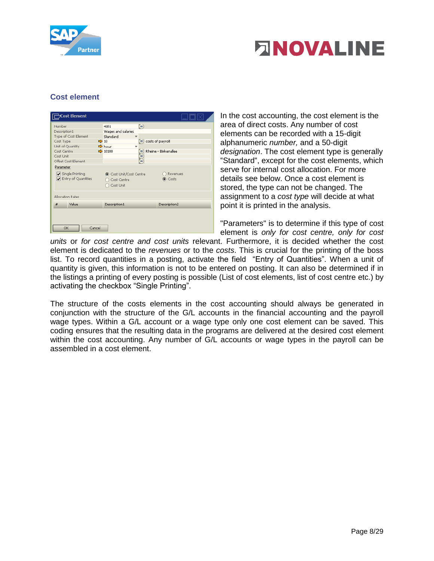



# **Cost element**

|                  | <b>Cost Element</b>                    |                                                       |                               |                      |  |  |
|------------------|----------------------------------------|-------------------------------------------------------|-------------------------------|----------------------|--|--|
| Number           |                                        | 4101                                                  | $\textcircled{\scriptsize{}}$ |                      |  |  |
| Description1     |                                        | Wages and salaries                                    |                               |                      |  |  |
|                  | Type of Cost Element                   | Standard                                              |                               |                      |  |  |
| Cost Type        | $\Rightarrow$ 10                       |                                                       | $\equiv$ costs of payroll     |                      |  |  |
| Unit of Quantity |                                        | $\Rightarrow$ hour                                    | $\overline{\phantom{a}}$      |                      |  |  |
| Cost Centre      |                                        | $\Rightarrow$ 10100                                   | Ξ                             | Rheine - Birkenallee |  |  |
| Cost Unit        |                                        |                                                       | 5                             |                      |  |  |
|                  | Offset Cost Element                    |                                                       |                               |                      |  |  |
| Parameter        | Single Printing<br>Entry of Quantities | Cost Unit/Cost Centre<br>◯ Cost Centre<br>○ Cost Unit |                               | Revenues<br>(Costs   |  |  |
| Allocation Rates |                                        |                                                       |                               |                      |  |  |
| #                | Value                                  | Description1                                          |                               | Description2         |  |  |
| OK<br>Cancel     |                                        |                                                       |                               |                      |  |  |

In the cost accounting, the cost element is the area of direct costs. Any number of cost elements can be recorded with a 15-digit alphanumeric *number,* and a 50-digit *designation*. The cost element type is generally "Standard", except for the cost elements, which serve for internal cost allocation. For more details see below. Once a cost element is stored, the type can not be changed. The assignment to a *cost type* will decide at what point it is printed in the analysis.

"Parameters" is to determine if this type of cost element is *only for cost centre, only for cost*

*units* or *for cost centre and cost units* relevant. Furthermore, it is decided whether the cost element is dedicated to the *revenues* or to the *costs*. This is crucial for the printing of the boss list. To record quantities in a posting, activate the field "Entry of Quantities". When a unit of quantity is given, this information is not to be entered on posting. It can also be determined if in the listings a printing of every posting is possible (List of cost elements, list of cost centre etc.) by activating the checkbox "Single Printing".

The structure of the costs elements in the cost accounting should always be generated in conjunction with the structure of the G/L accounts in the financial accounting and the payroll wage types. Within a G/L account or a wage type only one cost element can be saved. This coding ensures that the resulting data in the programs are delivered at the desired cost element within the cost accounting. Any number of G/L accounts or wage types in the payroll can be assembled in a cost element.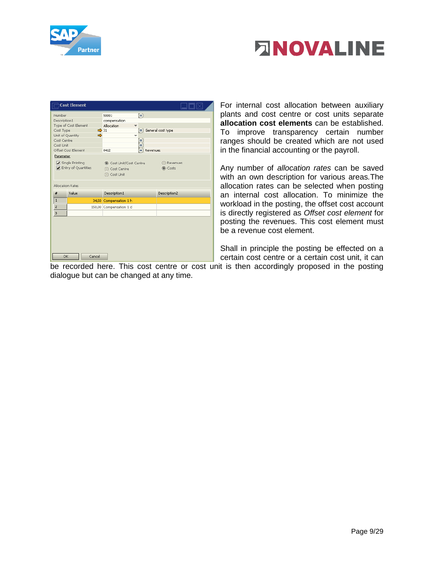



|                                                                                     | <b>Cost Element</b>                                           |                                                                                     |                            |
|-------------------------------------------------------------------------------------|---------------------------------------------------------------|-------------------------------------------------------------------------------------|----------------------------|
| Number<br>Description1<br>Cost Type<br>Unit of Quantity<br>Cost Centre<br>Cost Unit | Type of Cost Element<br>$\Rightarrow$ 31<br>$\Rightarrow$     | ⊜<br>50001<br>compensation<br>Allocation<br>v<br>$\overline{\phantom{a}}$<br>貝<br>Ξ | $\equiv$ General cost type |
| Parameter<br>Allocation Rates                                                       | Offset Cost Element<br>Single Printing<br>Entry of Quantities | 8412<br>Ξ<br>Revenues<br>Cost Unit/Cost Centre<br>Cost Centre<br>Cost Unit          | Revenues<br>(B) Costs      |
| #                                                                                   | Value                                                         | Description1                                                                        | Description2               |
| $\mathbf 1$                                                                         |                                                               | 34,50 Compensation 1 h                                                              |                            |
| $\overline{z}$                                                                      |                                                               | 150,00 Compensation 1 d                                                             |                            |
| $\overline{3}$                                                                      |                                                               |                                                                                     |                            |
| OK                                                                                  | Cancel                                                        |                                                                                     |                            |

For internal cost allocation between auxiliary plants and cost centre or cost units separate **allocation cost elements** can be established. To improve transparency certain number ranges should be created which are not used in the financial accounting or the payroll.

Any number of *allocation rates* can be saved with an own description for various areas*.*The allocation rates can be selected when posting an internal cost allocation. To minimize the workload in the posting, the offset cost account is directly registered as *Offset cost element* for posting the revenues. This cost element must be a revenue cost element.

Shall in principle the posting be effected on a certain cost centre or a certain cost unit, it can

be recorded here. This cost centre or cost unit is then accordingly proposed in the posting dialogue but can be changed at any time.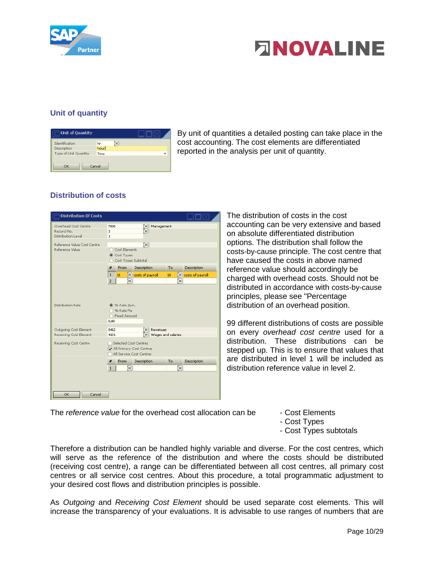



# <span id="page-9-0"></span>**Unit of quantity**

| Unit of Quantity      |        |   |  |
|-----------------------|--------|---|--|
| Identification        | hr     | Θ |  |
| Description           | hour   |   |  |
| Type of Unit Quantity | Time   |   |  |
| ОК                    | Cancel |   |  |

By unit of quantities a detailed posting can take place in the cost accounting. The cost elements are differentiated reported in the analysis per unit of quantity.

# <span id="page-9-1"></span>**Distribution of costs**

| <b>Distribution Of Costs</b>                             |                                                                                                                  |                            |
|----------------------------------------------------------|------------------------------------------------------------------------------------------------------------------|----------------------------|
| Overhead Cost Centre<br>Record No.<br>Distribution Level | 7000<br>Management<br>Ξ<br>3<br>Ξ<br>$\mathbf{1}$                                                                |                            |
| Reference Value Cost Centre<br>Reference Value           | $\mathbf{r}$<br>◯ Cost Elements<br>(Cost Types<br>Cost Types Subtotal                                            |                            |
|                                                          | From<br>Description<br>#<br>To                                                                                   | Description                |
|                                                          | $\mathbf 1$<br>∍<br>costs of payroll<br>10<br>10<br>$\overline{z}$<br>Θ                                          | ⊜<br>costs of payroll<br>⋴ |
| <b>Distribution Rate</b><br>Outgoing Cost Element        | <b>3</b> %-Rate dyn.<br>◯ %-Rate Fix<br>◯ Fixed Amount<br>0,00<br>8412<br>Revenues<br>Ξ                          |                            |
| Receiving Cost Element<br>Receiving Cost Centre          | Wages and salaries<br>4101<br>≡<br>Selected Cost Centres<br>All Primary Cost Centres<br>All Service Cost Centres |                            |
|                                                          | Description<br>#<br>From<br>To<br>Ξ<br>$\mathbf{1}$                                                              | Description<br>⊜           |
| <b>OK</b><br>Cancel                                      |                                                                                                                  |                            |

The distribution of costs in the cost accounting can be very extensive and based on absolute differentiated distribution options. The distribution shall follow the costs-by-cause principle. The cost centre that have caused the costs in above named reference value should accordingly be charged with overhead costs. Should not be distributed in accordance with costs-by-cause principles, please see "Percentage distribution of an overhead position.

99 different distributions of costs are possible on every *overhead cost centre* used for a distribution. These distributions can be stepped up. This is to ensure that values that are distributed in level 1 will be included as distribution reference value in level 2.

The *reference value* for the overhead cost allocation can be - Cost Elements

- 
- Cost Types
- Cost Types subtotals

Therefore a distribution can be handled highly variable and diverse. For the cost centres, which will serve as the reference of the distribution and where the costs should be distributed (receiving cost centre), a range can be differentiated between all cost centres, all primary cost centres or all service cost centres. About this procedure, a total programmatic adjustment to your desired cost flows and distribution principles is possible.

As *Outgoing* and *Receiving Cost Element* should be used separate cost elements. This will increase the transparency of your evaluations. It is advisable to use ranges of numbers that are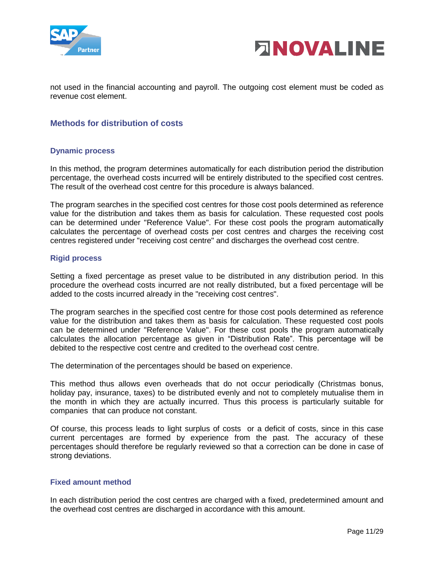



not used in the financial accounting and payroll. The outgoing cost element must be coded as revenue cost element.

# **Methods for distribution of costs**

#### <span id="page-10-0"></span>**Dynamic process**

In this method, the program determines automatically for each distribution period the distribution percentage, the overhead costs incurred will be entirely distributed to the specified cost centres. The result of the overhead cost centre for this procedure is always balanced.

The program searches in the specified cost centres for those cost pools determined as reference value for the distribution and takes them as basis for calculation. These requested cost pools can be determined under "Reference Value". For these cost pools the program automatically calculates the percentage of overhead costs per cost centres and charges the receiving cost centres registered under "receiving cost centre" and discharges the overhead cost centre.

#### <span id="page-10-1"></span>**Rigid process**

Setting a fixed percentage as preset value to be distributed in any distribution period. In this procedure the overhead costs incurred are not really distributed, but a fixed percentage will be added to the costs incurred already in the "receiving cost centres".

The program searches in the specified cost centre for those cost pools determined as reference value for the distribution and takes them as basis for calculation. These requested cost pools can be determined under "Reference Value". For these cost pools the program automatically calculates the allocation percentage as given in "Distribution Rate". This percentage will be debited to the respective cost centre and credited to the overhead cost centre.

The determination of the percentages should be based on experience.

This method thus allows even overheads that do not occur periodically (Christmas bonus, holiday pay, insurance, taxes) to be distributed evenly and not to completely mutualise them in the month in which they are actually incurred. Thus this process is particularly suitable for companies that can produce not constant.

Of course, this process leads to light surplus of costs or a deficit of costs, since in this case current percentages are formed by experience from the past. The accuracy of these percentages should therefore be regularly reviewed so that a correction can be done in case of strong deviations.

#### <span id="page-10-2"></span>**Fixed amount method**

In each distribution period the cost centres are charged with a fixed, predetermined amount and the overhead cost centres are discharged in accordance with this amount.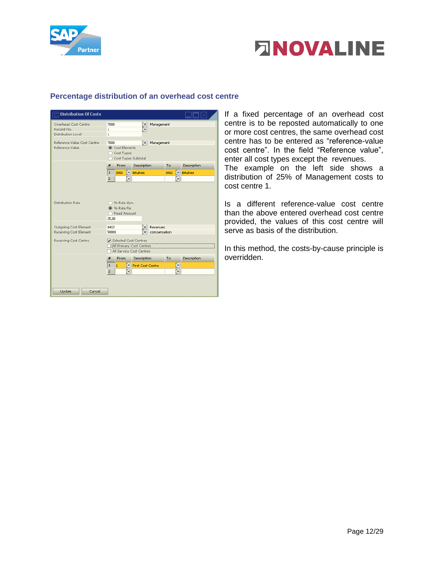



#### <span id="page-11-0"></span>**Percentage distribution of an overhead cost centre**

| <b>Distribution Of Costs</b>                             |                                                                                             |                                                     |
|----------------------------------------------------------|---------------------------------------------------------------------------------------------|-----------------------------------------------------|
| Overhead Cost Centre<br>Record No.<br>Distribution Level | 7000<br>Management<br>Ξ<br>$\mathbf{1}$<br>≡<br>$\mathbf{1}$                                |                                                     |
| Reference Value Cost Centre<br>Reference Value           | $\equiv$ Management<br>7000<br>Cost Elements<br>Cost Types<br>Cost Types Subtotal           |                                                     |
|                                                          | From<br>Description<br>#<br>$\equiv$ Bitukies<br>$\mathbf 1$<br>3002<br>$\overline{z}$<br>Ξ | Description<br>To<br>$\equiv$ Bitukies<br>3002<br>Ξ |
| Distribution Rate                                        | ◯ %-Rate dyn.<br><sup>3</sup> %-Rate Fix<br>◯ Fixed Amount<br>25.00                         |                                                     |
| Outgoing Cost Element<br>Receiving Cost Element          | 8412<br>Revenues<br>≡<br>50001<br>compensation<br>≡                                         |                                                     |
| Receiving Cost Centre                                    | Selected Cost Centres<br>All Primary Cost Centres<br>All Service Cost Centres               |                                                     |
|                                                          | Description<br>#<br><b>From</b>                                                             | Description<br>To.                                  |
|                                                          | $\mathbf{1}$<br>= First Cost Centre<br>$\mathbf{1}$<br>2<br>⊟                               | ⊜<br>Θ                                              |
| Update<br>Cancel                                         |                                                                                             |                                                     |

If a fixed percentage of an overhead cost centre is to be reposted automatically to one or more cost centres, the same overhead cost centre has to be entered as "reference-value cost centre". In the field "Reference value", enter all cost types except the revenues.

The example on the left side shows a distribution of 25% of Management costs to cost centre 1.

Is a different reference-value cost centre than the above entered overhead cost centre provided, the values of this cost centre will serve as basis of the distribution.

In this method, the costs-by-cause principle is overridden.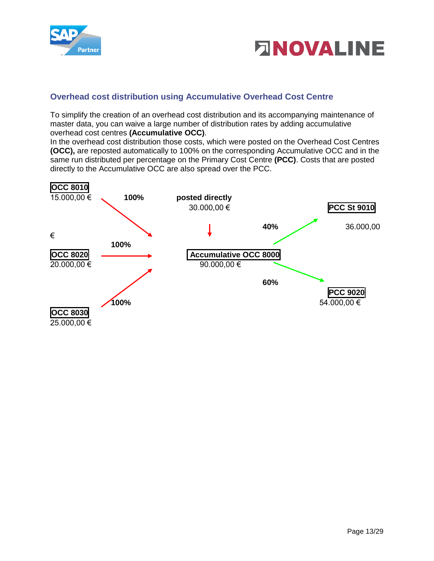



# <span id="page-12-0"></span>**Overhead cost distribution using Accumulative Overhead Cost Centre**

To simplify the creation of an overhead cost distribution and its accompanying maintenance of master data, you can waive a large number of distribution rates by adding accumulative overhead cost centres **(Accumulative OCC)**.

In the overhead cost distribution those costs, which were posted on the Overhead Cost Centres **(OCC),** are reposted automatically to 100% on the corresponding Accumulative OCC and in the same run distributed per percentage on the Primary Cost Centre **(PCC)**. Costs that are posted directly to the Accumulative OCC are also spread over the PCC.

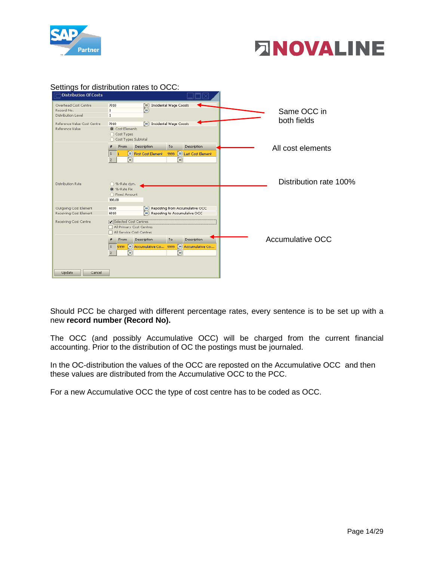



| $\Box$ Distribution Of Costs                                             | Settings for distribution rates to OCC:                                                                                                                                             |                            |
|--------------------------------------------------------------------------|-------------------------------------------------------------------------------------------------------------------------------------------------------------------------------------|----------------------------|
| Overhead Cost Centre<br>Record No.<br>Distribution Level                 | ■ Incidental Wage Coosts<br>7010<br>Ξ<br>$\mathbf{1}$<br>$\mathbf{1}$                                                                                                               | Same OCC in<br>both fields |
| Reference Value Cost Centre<br>Reference Value                           | $\equiv$ Incidental Wage Coosts<br>7010<br><b>O</b> Cost Elements<br>◯ Cost Types<br>C Cost Types Subtotal                                                                          |                            |
|                                                                          | Description<br>Description<br>From<br>To<br><b>E</b> Last Cost Element<br>First Cost Element<br>9999<br>  1<br>⊜<br>⊜<br>$\overline{2}$                                             | All cost elements          |
| Distribution Rate                                                        | ○ %-Rate dyn.<br>(3) %-Rate Fix<br>◯ Fixed Amount<br>100,00                                                                                                                         | Distribution rate 100%     |
| Outgoing Cost Element<br>Receiving Cost Element<br>Receiving Cost Centre | $\equiv$ Reposting from Accumulative OCC<br>6030<br>$\equiv$ Reposting to Accumulative OCC<br>6010<br>Selected Cost Centres<br>All Primary Cost Centres<br>All Service Cost Centres |                            |
|                                                                          | <b>Description</b><br>Description<br>To<br>From<br>Accumulative Co 5999<br>■ Accumulative Co<br>5999<br>  1<br>⊜<br>⊜<br>$\overline{2}$                                             | <b>Accumulative OCC</b>    |
| Update<br>Cancel                                                         |                                                                                                                                                                                     |                            |

Should PCC be charged with different percentage rates, every sentence is to be set up with a new **record number (Record No).**

The OCC (and possibly Accumulative OCC) will be charged from the current financial accounting. Prior to the distribution of OC the postings must be journaled.

In the OC-distribution the values of the OCC are reposted on the Accumulative OCC and then these values are distributed from the Accumulative OCC to the PCC.

For a new Accumulative OCC the type of cost centre has to be coded as OCC.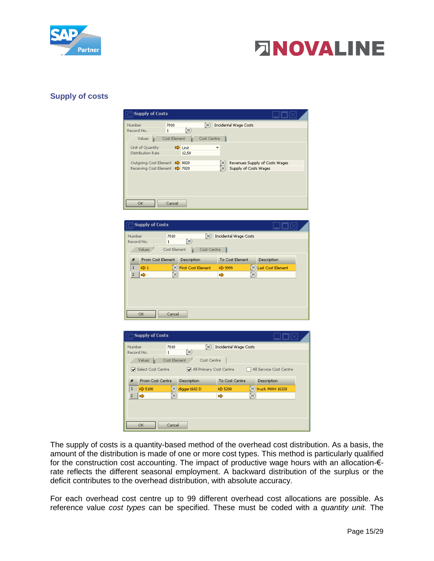



#### <span id="page-14-0"></span>**Supply of costs**

| Supply of Costs                |              |               |              |                       |                                |  |
|--------------------------------|--------------|---------------|--------------|-----------------------|--------------------------------|--|
| Number                         | 7010         |               | $\mathbf{E}$ | Incidental Wage Costs |                                |  |
| Record No.                     | 1            | ∍             |              |                       |                                |  |
| Values                         | Cost Element |               | Cost Centre  |                       |                                |  |
| Unit of Quantity               |              | <b>□</b> Unit | ÷            |                       |                                |  |
| Distribution Rate              |              | 12,50         |              |                       |                                |  |
| Outgoing Cost Element → 8020   |              |               |              | Ξ                     | Revenues Supply of Costs Wages |  |
| Receiving Cost Element => 7020 |              |               |              | ▤                     | Supply of Costs Wages          |  |
|                                |              |               |              |                       |                                |  |
|                                |              |               |              |                       |                                |  |
|                                |              |               |              |                       |                                |  |
|                                |              |               |              |                       |                                |  |
| <b>OK</b>                      | Cancel       |               |              |                       |                                |  |
|                                |              |               |              |                       |                                |  |

|                | Supply of Costs                   |                                       |                       |                            |
|----------------|-----------------------------------|---------------------------------------|-----------------------|----------------------------|
| Number         | 7010<br>Record No.<br>1<br>Values | Θ<br>⊜<br>Cost Element<br>Cost Centre | Incidental Wage Costs |                            |
| #              | From Cost Element                 | Description                           | To Cost Element       | Description                |
| 1              | $\Rightarrow$ 1                   | ⊟<br><b>First Cost Element</b>        | □ 9999                | $\equiv$ Last Cost Element |
| $\overline{2}$ | ➾                                 | ▤                                     | ⊜<br>➾                |                            |
|                |                                   |                                       |                       |                            |
|                | OK.                               | Cancel                                |                       |                            |

|                | Supply of Costs    |                     |                         |                       |                         |  |
|----------------|--------------------|---------------------|-------------------------|-----------------------|-------------------------|--|
| Number         |                    | 7010                | $\equiv$                | Incidental Wage Costs |                         |  |
| Record No.     |                    | ⊜<br>1              |                         |                       |                         |  |
|                | Values             | Cost Element        | Cost Centre             |                       |                         |  |
|                | Select Cost Centre |                     | All Primary Cost Centre |                       | All Service Cost Centre |  |
| #              | From Cost Centre   | Description         |                         | To Cost Centre        | Description             |  |
| 1              | $\Rightarrow$ 5100 | Ξ)<br>digger 1602 D |                         | $\Rightarrow$ 5200    | ■ truck MAN 16320       |  |
| $\overline{2}$ | ⇨                  | Ξ)                  |                         | ⇨                     | ⊜                       |  |
|                |                    |                     |                         |                       |                         |  |
|                |                    |                     |                         |                       |                         |  |
|                | OK                 | Cancel              |                         |                       |                         |  |

The supply of costs is a quantity-based method of the overhead cost distribution. As a basis, the amount of the distribution is made of one or more cost types. This method is particularly qualified for the construction cost accounting. The impact of productive wage hours with an allocation-€ rate reflects the different seasonal employment. A backward distribution of the surplus or the deficit contributes to the overhead distribution, with absolute accuracy.

For each overhead cost centre up to 99 different overhead cost allocations are possible. As reference value *cost types* can be specified. These must be coded with a *quantity unit.* The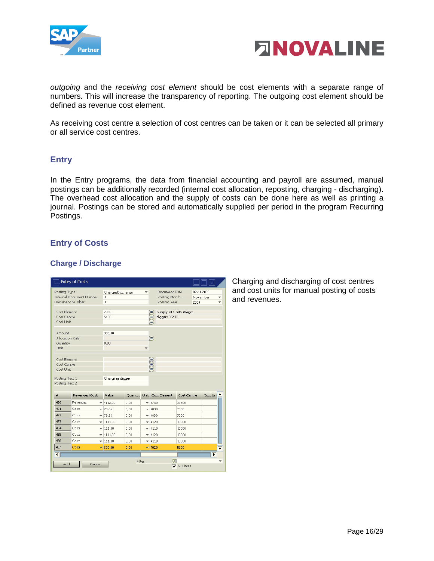



*outgoing* and the *receiving cost element* should be cost elements with a separate range of numbers. This will increase the transparency of reporting. The outgoing cost element should be defined as revenue cost element.

As receiving cost centre a selection of cost centres can be taken or it can be selected all primary or all service cost centres.

# <span id="page-15-0"></span>**Entry**

In the Entry programs, the data from financial accounting and payroll are assumed, manual postings can be additionally recorded (internal cost allocation, reposting, charging - discharging). The overhead cost allocation and the supply of costs can be done here as well as printing a journal. Postings can be stored and automatically supplied per period in the program Recurring Postings.

# <span id="page-15-1"></span>**Entry of Costs**

#### <span id="page-15-2"></span>**Charge / Discharge**

| <b>Entry of Costs</b>                         |                                 |                                 |       |                          |                   |                                                                                  |                          |  |
|-----------------------------------------------|---------------------------------|---------------------------------|-------|--------------------------|-------------------|----------------------------------------------------------------------------------|--------------------------|--|
| Posting Type<br>Document Number               | <b>Internal Document Number</b> | Charge/Discharge<br>▼<br>3<br>3 |       |                          |                   | 02.11.2009<br>Document Date<br>Posting Month<br>November<br>Posting Year<br>2009 |                          |  |
| Cost Element<br>Cost Centre<br>Cost Unit      |                                 | 7020<br>5100                    |       |                          | Ε<br>Ξ<br>▤       | Supply of Costs Wages<br>digger 1602 D                                           |                          |  |
| Amount<br>Allocation Rate<br>Quantity<br>Unit |                                 | 300,00<br>0.00                  |       |                          | ⊜                 |                                                                                  |                          |  |
| Cost Element<br>Cost Centre<br>Cost Unit      | Ξ<br>Î                          |                                 |       |                          |                   |                                                                                  |                          |  |
| Posting Text 1<br>Posting Text 2              |                                 | Charging digger                 |       |                          |                   |                                                                                  |                          |  |
| #                                             | Revenues/Costs                  | Value                           | Quant |                          | Unit Cost Element | Cost Centre                                                                      | Cost Uni <sup>4</sup>    |  |
| 450                                           | Revenues                        | $= -112,00$                     | 0.00  |                          | $-3730$           | 32500                                                                            |                          |  |
| 451                                           | Costs                           | $= 79.66$                       | 0,00  | ÷                        | 4830              | 7000                                                                             |                          |  |
| 452                                           | Costs                           | $= 79,66$                       | 0.00  | ÷                        | 4830              | 7000                                                                             |                          |  |
| 453                                           | Costs                           | $= -111,00$                     | 0.00  | ٠                        | 4120              | 10000                                                                            |                          |  |
| 454                                           | Costs                           | $= 111,00$                      | 0,00  | ÷                        | 4110              | 10000                                                                            |                          |  |
| 455                                           | Costs                           | $= -111,00$                     | 0,00  | $\overline{\phantom{a}}$ | 4120              | 10000                                                                            |                          |  |
| 456                                           | Costs                           | $= 111,00$                      | 0.00  |                          | $= 4110$          | 10000                                                                            |                          |  |
| 457                                           | Costs                           | $\frac{1}{2}$ 300,00            | 0.00  |                          | $-17020$          | 5100                                                                             | ┯                        |  |
| $\left  \right $                              |                                 |                                 |       |                          |                   |                                                                                  | $\overline{\phantom{a}}$ |  |
| ÂΙ<br>Filter<br>Add<br>Cancel<br>All Users    |                                 |                                 |       |                          |                   |                                                                                  |                          |  |

Charging and discharging of cost centres and cost units for manual posting of costs and revenues.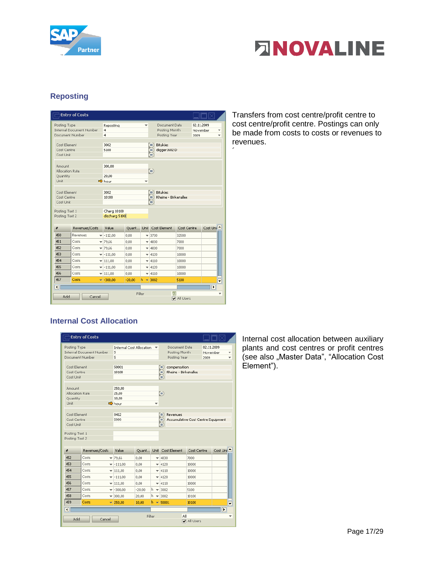



# <span id="page-16-0"></span>**Reposting**

|                                                           | <b>Entry of Costs</b>                                                 |                                                |          |                                                        |                                                 |                                                                                  |          |  |  |  |
|-----------------------------------------------------------|-----------------------------------------------------------------------|------------------------------------------------|----------|--------------------------------------------------------|-------------------------------------------------|----------------------------------------------------------------------------------|----------|--|--|--|
| Posting Type<br>Document Number                           | <b>Internal Document Number</b>                                       | Reposting<br>٠<br>4<br>$\overline{\mathbf{4}}$ |          |                                                        |                                                 | 02.11.2009<br>Document Date<br>Posting Month<br>November<br>Posting Year<br>2009 |          |  |  |  |
| Cost Element<br>Cost Centre<br>Cost Unit                  |                                                                       | 3002<br>5100                                   |          |                                                        | <b>Bitukies</b><br>Ξ<br>digger 1602 D<br>Ξ<br>Ξ |                                                                                  |          |  |  |  |
| Amount<br>Allocation Rate<br>Quantity<br>Unit             |                                                                       | 300,00<br>20,00<br>$\Rightarrow$ hour          |          | $\overline{\phantom{a}}$                               | ⊜                                               |                                                                                  |          |  |  |  |
| 3002<br>Cost Element<br>10100<br>Cost Centre<br>Cost Unit |                                                                       |                                                |          | <b>Bitukies</b><br>≡<br>Rheine - Birkenallee<br>Ξ<br>Ξ |                                                 |                                                                                  |          |  |  |  |
| Posting Text 1<br>Posting Text 2                          |                                                                       | Charg 10100<br>discharg 5100                   |          |                                                        |                                                 |                                                                                  |          |  |  |  |
| #                                                         | Revenues/Costs                                                        | <b>Value</b>                                   | Quant    |                                                        | Unit Cost Element                               | Cost Centre                                                                      | Cost Uni |  |  |  |
| 450                                                       | Revenues                                                              | $-112,00$                                      | 0,00     |                                                        | $= 3730$                                        | 32500                                                                            |          |  |  |  |
| 451                                                       | Costs                                                                 | $= 79,66$                                      | 0,00     |                                                        | $= 4830$                                        | 7000                                                                             |          |  |  |  |
| 452                                                       | Costs                                                                 | $= 79.66$                                      | 0.00     |                                                        | $= 4830$                                        | 7000                                                                             |          |  |  |  |
| 453                                                       | Costs                                                                 | $= -111,00$                                    | 0,00     |                                                        | $= 4120$                                        | 10000                                                                            |          |  |  |  |
| 454                                                       | Costs                                                                 | $= 111,00$                                     | 0,00     |                                                        | $= 4110$                                        | 10000                                                                            |          |  |  |  |
| 455                                                       | Costs                                                                 | $= -111,00$                                    | 0,00     |                                                        | $= 4120$                                        | 10000                                                                            |          |  |  |  |
| 456                                                       | Costs                                                                 | $= 111,00$                                     | 0,00     |                                                        | $= 4110$                                        | 10000                                                                            |          |  |  |  |
| 457                                                       | Costs                                                                 | $\frac{1}{2}$ -300,00                          | $-20,00$ |                                                        | $h = 3002$                                      | 5100                                                                             | ▼        |  |  |  |
| ◥<br>Add                                                  | $\overline{\phantom{a}}$<br>ΙĀΠ<br>Filter<br>÷<br>Cancel<br>All Users |                                                |          |                                                        |                                                 |                                                                                  |          |  |  |  |

Transfers from cost centre/profit centre to cost centre/profit centre. Postings can only be made from costs to costs or revenues to revenues.

´

# <span id="page-16-1"></span>**Internal Cost Allocation**

|                                                                                                                           | <b>Entry of Costs</b>           |        |                                 |          |    |                     |                                                |             |                                |          |  |
|---------------------------------------------------------------------------------------------------------------------------|---------------------------------|--------|---------------------------------|----------|----|---------------------|------------------------------------------------|-------------|--------------------------------|----------|--|
| Posting Type<br>Document Number                                                                                           | <b>Internal Document Number</b> | 5<br>5 | <b>Internal Cost Allocation</b> |          |    |                     | Document Date<br>Posting Month<br>Posting Year |             | 02.11.2009<br>November<br>2009 |          |  |
| Cost Element<br>Cost Centre<br>Cost Unit                                                                                  |                                 |        | 50001<br>10100                  |          |    | Ξ<br>Ξ<br>Ξ         | compensation<br>Rheine - Birkenallee           |             |                                |          |  |
| Amount<br>Allocation Rate<br>Quantity<br><b>Unit</b>                                                                      |                                 | hour   | 250,00<br>25,00<br>10.00        |          |    | Θ                   |                                                |             |                                |          |  |
| Cost Element<br>8412<br>Revenues<br>Ξ<br>Cost Centre<br>5999<br>Accumulative Cost Centre Equipment<br>Ξ<br>Cost Unit<br>Ξ |                                 |        |                                 |          |    |                     |                                                |             |                                |          |  |
| Posting Text 1<br>Posting Text 2                                                                                          |                                 |        |                                 |          |    |                     |                                                |             |                                |          |  |
| #                                                                                                                         | Revenues/Costs                  |        | Value                           | Quant    |    |                     | Unit Cost Element                              | Cost Centre |                                | Cost Uni |  |
| 452                                                                                                                       | Costs                           |        | $= 79.66$                       | 0.00     |    | $= 4830$            |                                                | 7000        |                                |          |  |
| 453                                                                                                                       | Costs                           |        | $= -111.00$                     | 0,00     |    | $= 4120$            |                                                | 10000       |                                |          |  |
| 454                                                                                                                       | Costs                           |        | $= 111,00$                      | 0,00     |    | $= 4110$            |                                                | 10000       |                                |          |  |
| 455                                                                                                                       | Costs                           | ÷      | $-111,00$                       | 0,00     | ÷  | 4120                |                                                | 10000       |                                |          |  |
| 456                                                                                                                       | Costs                           |        | $-111.00$                       | 0.00     |    | $= 4110$            |                                                | 10000       |                                |          |  |
| 457                                                                                                                       | Costs                           |        | $-300,00$                       | $-20.00$ | h. | $= 3002$            |                                                | 5100        |                                |          |  |
| 458                                                                                                                       | Costs                           |        | $= 300,00$                      | 20.00    | h. | $= 3002$            |                                                | 10100       |                                |          |  |
| 459                                                                                                                       | Costs                           |        | $= 250,00$                      | 10.00    | ħ. | $\frac{1}{2}$ 50001 |                                                | 10100       |                                | ٠        |  |
| $\overline{\bullet}$                                                                                                      |                                 |        |                                 |          |    |                     |                                                |             |                                | ▶        |  |
| Add                                                                                                                       | Cancel                          |        |                                 | Filter   |    |                     | All                                            | All Users   |                                |          |  |

Internal cost allocation between auxiliary plants and cost centres or profit centres (see also "Master Data", "Allocation Cost Element").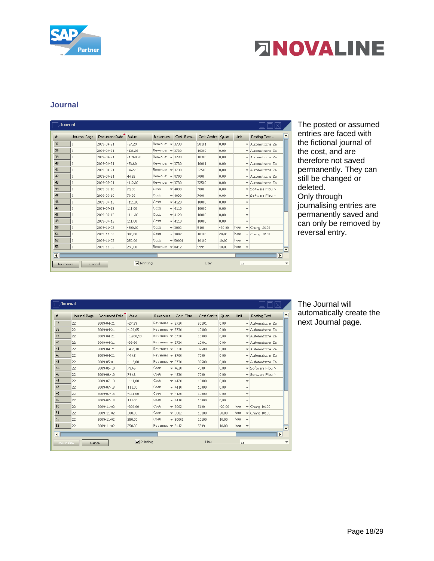

# **ENOVALINE**

# <span id="page-17-0"></span>**Journal**

| #                       | Journal Page | Document Date | Value             | Revenues                            | Cost Elem | Cost Centre | Quan     | <b>Unit</b>                     | Posting Text 1                   |
|-------------------------|--------------|---------------|-------------------|-------------------------------------|-----------|-------------|----------|---------------------------------|----------------------------------|
| 37                      | 0            | 2009-04-21    | $-27.29$          | Revenues $\mathbf$                  | 3730      | 50101       | 0.00     |                                 | ▼ Automatische Za                |
| 38                      | 0            | 2009-04-21    | $-126.05$         | Revenues $\mathbf$                  | 3730      | 10300       | 0.00     |                                 | ▼ Automatische Za                |
| 39                      | 0            | 2009-04-21    | $-1,260,50$       | Revenues $\rightarrow$              | 3730      | 10300       | 0,00     |                                 | ▼ Automatische Za                |
| 40                      | 0            | 2009-04-21    | $-33,60$          | Revenues $\rightarrow$              | 3730      | 10001       | 0,00     |                                 | ₩ Automatische Za                |
| 41                      | 0            | 2009-04-21    | $-462,18$         | Revenues $\rightarrow$              | 3730      | 32500       | 0,00     |                                 | ▼ Automatische Za                |
| 42                      | Ŭ.           | 2009-04-21    | 44.65             | Revenues $\rightarrow$              | 8700      | 7000        | 0.00     |                                 | ▼ Automatische Za                |
| 43                      | $\theta$     | 2009-05-01    | $-112.00$         | Revenues $\mathbf$                  | 3730      | 32500       | 0.00     |                                 | ▼ Automatische Za                |
| 44                      | 0            | 2009-05-10    | 79.66             | Costs<br>$\overline{\phantom{a}}$   | 4830      | 7000        | 0.00     |                                 | Software Fibu N                  |
| 45                      | 0            | 2009-06-10    | 79.66             | Costs                               | $= 4830$  | 7000        | 0.00     |                                 | ▼ Software Fibu N                |
| 46                      | 0            | 2009-07-13    | $-111.00$         | Costs                               | $= 4120$  | 10000       | 0.00     | ▼                               |                                  |
| 47                      | 0            | 2009-07-13    | 111.00            | Costs                               | $= 4110$  | 10000       | 0.00     | $\overline{\phantom{a}}$        |                                  |
| 48                      | 0            | 2009-07-13    | $-111,00$         | Costs                               | $= 4120$  | 10000       | 0,00     | ▼                               |                                  |
| 49                      | 0            | 2009-07-13    | 111,00            | Costs                               | $= 4110$  | 10000       | 0,00     | ▼                               |                                  |
| 50                      | 0            | 2009-11-02    | $-300,00$         | Costs                               | $= 3002$  | 5100        | $-20.00$ | hour                            | $\blacktriangledown$ Charg 10100 |
| 51                      | 0            | 2009-11-02    | 300.00            | Costs                               | $= 3002$  | 10100       | 20.00    | hour                            | $\blacktriangledown$ Charg 10100 |
| 52                      | 0            | 2009-11-02    | 250.00            | Costs<br>$\overline{\phantom{a}}$   | 50001     | 10100       | 10.00    | hour<br>v                       |                                  |
| 53                      | $\theta$     | 2009-11-02    | 250,00            | Revenues<br>$\overline{\mathbf{v}}$ | 8412      | 5999        | 10.00    | hour<br>$\overline{\mathbf{v}}$ |                                  |
| $\overline{\mathbf{R}}$ |              |               |                   |                                     |           |             |          |                                 | E                                |
| Journalize              | Cancel       |               | $\nabla$ Printing |                                     |           | User        |          | sa                              |                                  |

The posted or assumed entries are faced with the fictional journal of the cost, and are therefore not saved permanently. They can still be changed or deleted. Only through journalising entries are permanently saved and can only be removed by reversal entry.

|                         | <b>Journal</b>                                                       |               |             |                                      |           |             |           |                                  |                          |  |
|-------------------------|----------------------------------------------------------------------|---------------|-------------|--------------------------------------|-----------|-------------|-----------|----------------------------------|--------------------------|--|
| #                       | Journal Page                                                         | Document Date | Value       | Revenues                             | Cost Elem | Cost Centre | Quan Unit |                                  | E<br>Posting Text 1      |  |
| 37                      | 22                                                                   | 2009-04-21    | $-27.29$    | Revenues $\mathbf$                   | 3730      | 50101       | 0.00      | ÷                                | Automatische Za          |  |
| 38                      | 22                                                                   | 2009-04-21    | $-126.05$   | Revenues =                           | 3730      | 10300       | 0.00      | $\overline{\phantom{a}}$         | Automatische Za          |  |
| 39                      | 22                                                                   | 2009-04-21    | $-1,260,50$ | Revenues $\mathbf$                   | 3730      | 10300       | 0.00      | ▼                                | Automatische Za          |  |
| 40                      | 22                                                                   | 2009-04-21    | $-33,60$    | $Revenues =$                         | 3730      | 10001       | 0.00      | ÷                                | Automatische Za          |  |
| 41                      | 22                                                                   | 2009-04-21    | $-462.18$   | $Revenues =$                         | 3730      | 32500       | 0.00      | ▼                                | Automatische Za          |  |
| 42                      | 22                                                                   | 2009-04-21    | 44,65       | $Re$ venues $\rightarrow$            | 8700      | 7000        | 0.00      | ▼                                | Automatische Za          |  |
| 43                      | 22                                                                   | 2009-05-01    | $-112,00$   | Revenues $= 3730$                    |           | 32500       | 0.00      | ▼                                | Automatische Za          |  |
| 44                      | 22                                                                   | 2009-05-10    | 79,66       | Costs<br>$\overline{\phantom{a}}$    | 4830      | 7000        | 0.00      | ▼                                | Software Fibu N          |  |
| 45                      | 22                                                                   | 2009-06-10    | 79,66       | Costs<br>$\overline{\mathbf{v}}$     | 4830      | 7000        | 0.00      | ÷                                | Software Fibu N          |  |
| 46                      | 22                                                                   | 2009-07-13    | $-111,00$   | Costs                                | $-4120$   | 10000       | 0,00      | ▼                                |                          |  |
| 47                      | 22                                                                   | 2009-07-13    | 111,00      | Costs                                | $-4110$   | 10000       | 0,00      | ▼                                |                          |  |
| 48                      | 22                                                                   | 2009-07-13    | $-111,00$   | Costs                                | $-4120$   | 10000       | 0.00      | ▼                                |                          |  |
| 49                      | 22                                                                   | 2009-07-13    | 111.00      | Costs<br>$\overline{\phantom{a}}$    | 4110      | 10000       | 0.00      | $\overline{\phantom{a}}$         |                          |  |
| 50                      | 22                                                                   | 2009-11-02    | $-300,00$   | Costs<br>$\overline{\phantom{a}}$    | 3002      | 5100        | $-20.00$  | hour<br>$\overline{\phantom{a}}$ | Charg 10100              |  |
| 51                      | 22                                                                   | 2009-11-02    | 300,00      | Costs                                | $= 3002$  | 10100       | 20,00     | hour<br>٠                        | Charg 10100              |  |
| 52                      | 22                                                                   | 2009-11-02    | 250,00      | Costs                                | $= 50001$ | 10100       | 10.00     | hour<br>٠                        |                          |  |
| 53                      | 22                                                                   | 2009-11-02    | 250.00      | Revenues<br>$\overline{\phantom{a}}$ | 8412      | 5999        | 10.00     | hour<br>$\overline{\mathbf{v}}$  | ஈ                        |  |
| $\overline{\mathbf{1}}$ |                                                                      |               |             |                                      |           |             |           |                                  | $\overline{\phantom{a}}$ |  |
|                         | $\blacktriangleright$ Printing<br>User<br>sa<br>Cancel<br>Journalize |               |             |                                      |           |             |           |                                  |                          |  |

The Journal will automatically create the next Journal page.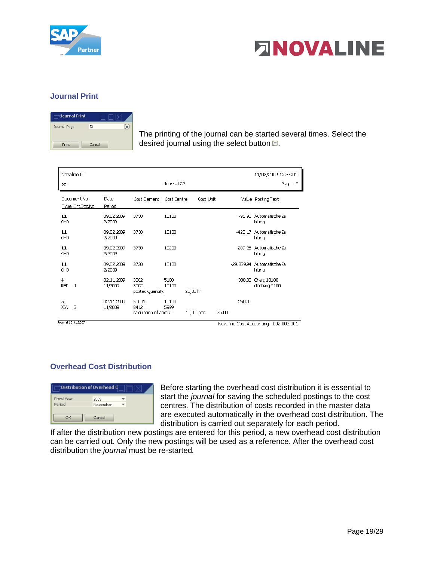



# <span id="page-18-0"></span>**Journal Print**

| Journal Print |         |
|---------------|---------|
| Journal Page  | 22<br>۰ |
| Print         | Cancel  |

The printing of the journal can be started several times. Select the desired journal using the select button  $\blacksquare$ .

| Novaline IT<br>sa                 |                       |                                       | Journal 22    |          |            |       |              | 11/02/2009 15:37:06<br>Page: 3 |
|-----------------------------------|-----------------------|---------------------------------------|---------------|----------|------------|-------|--------------|--------------------------------|
|                                   |                       |                                       |               |          |            |       |              |                                |
| Document No.<br>Type Int.Doc.No.  | Date<br>Period        | Cost Element                          | Cost Centre   |          | Cost Unit  |       |              | Value Posting Text             |
| 11<br>CHD                         | 09.02.2009<br>2/2009  | 3730                                  | 10100         |          |            |       | $-91.90$     | Automatische Za<br>hluna       |
| 11<br>CHD                         | 09.02.2009<br>2/2009  | 3730                                  | 10100         |          |            |       | $-420.17$    | Automatische Za<br>hlung       |
| 11<br>CHD                         | 09.02.2009<br>2/2009  | 3730                                  | 10200         |          |            |       | $-209.25$    | Automatische Za<br>hlung       |
| 11<br>CHD                         | 09.02.2009<br>2/2009  | 3730                                  | 10100         |          |            |       | $-29.329.94$ | Automatische Za<br>hlung       |
| 4<br><b>REP</b><br>$\overline{4}$ | 02.11.2009<br>11/2009 | 3002<br>3002<br>posted Quantity:      | 5100<br>10100 | 20,00 hr |            |       | 300.00       | Charg 10100<br>discharg 5100   |
| 5<br>5<br><b>ICA</b>              | 02.11.2009<br>11/2009 | 50001<br>8412<br>calculation of amour | 10100<br>5999 |          | 10,00 per: | 25.00 | 250.00       |                                |

Journal 15.01.2007

Novaline Cost Accounting : 002.003.001

# <span id="page-18-1"></span>**Overhead Cost Distribution**

| Distribution of Overhead C   |                  |  |
|------------------------------|------------------|--|
| <b>Fiscal Year</b><br>Period | 2009<br>November |  |
| OK                           | Cancel           |  |

Before starting the overhead cost distribution it is essential to start the *journal* for saving the scheduled postings to the cost centres. The distribution of costs recorded in the master data are executed automatically in the overhead cost distribution. The distribution is carried out separately for each period.

If after the distribution new postings are entered for this period, a new overhead cost distribution can be carried out. Only the new postings will be used as a reference. After the overhead cost distribution the *journal* must be re-started*.*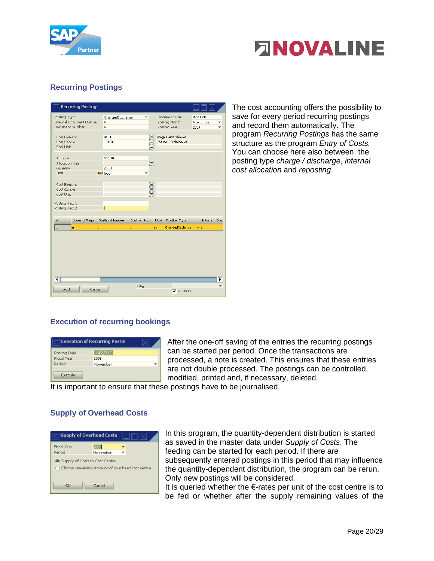



# <span id="page-19-0"></span>**Recurring Postings**

|                                               | <b>Recurring Postings</b>       |                                          |                   |             |                                                |                                |
|-----------------------------------------------|---------------------------------|------------------------------------------|-------------------|-------------|------------------------------------------------|--------------------------------|
| Posting Type<br>Document Number               | <b>Internal Document Number</b> | Charge/Discharge<br>6<br>$6\overline{6}$ |                   |             | Document Date<br>Posting Month<br>Posting Year | 02.11.2009<br>November<br>2009 |
| Cost Element<br>Cost Centre<br>Cost Unit      |                                 | 4101<br>10100                            | Ξ<br>Ξ<br>Ξ       |             | Wages and salaries<br>Rheine - Birkenallee     |                                |
| Amount<br>Allocation Rate<br>Quantity<br>Unit |                                 | 500,00<br>25,00<br>hour                  | $\mathbf{E}$<br>٠ |             |                                                |                                |
| Cost Element<br>Cost Centre<br>Cost Unit      |                                 |                                          | Ξ<br>Ξ<br>Ξ       |             |                                                |                                |
| Posting Text 1<br>Posting Text 2              |                                 |                                          |                   |             |                                                |                                |
| #                                             | Journal Page                    | Posting Number                           | Posting Row       | <b>User</b> | Posting Type                                   | <b>Internal Doc</b>            |
| $\,1\,$                                       | o                               | ō                                        | ō                 | sa          | Charge/Discharge                               | $\mathbf{E}$ 6                 |
| $\overline{\bullet}$                          |                                 |                                          |                   |             |                                                | ▶                              |
| Add                                           | Cancel                          |                                          | Filter            |             | All Users                                      |                                |

The cost accounting offers the possibility to save for every period recurring postings and record them automatically. The program *Recurring Postings* has the same structure as the program *Entry of Costs.*  You can choose here also between the posting type *charge / discharge*, *internal cost allocation* and *reposting*.

# <span id="page-19-1"></span>**Execution of recurring bookings**

| Execution of Recurring Postin |            |  |
|-------------------------------|------------|--|
| Posting Date                  | 11/02/2009 |  |
| <b>Fiscal Year</b>            | 2009       |  |
| Period                        | November   |  |
| Execute                       |            |  |

After the one-off saving of the entries the recurring postings can be started per period. Once the transactions are processed, a note is created. This ensures that these entries are not double processed. The postings can be controlled, modified, printed and, if necessary, deleted.

It is important to ensure that these postings have to be journalised.

#### <span id="page-19-2"></span>**Supply of Overhead Costs**

| Supply of Overhead Costs                                                               |                  |  |
|----------------------------------------------------------------------------------------|------------------|--|
| <b>Fiscal Year</b><br>Period                                                           | 2009<br>November |  |
| 5 Supply of Costs to Cost Centre<br>◯ Closing remaining Amount of overhead cost centre |                  |  |
| OK                                                                                     | Cancel           |  |

In this program, the quantity-dependent distribution is started as saved in the master data under *Supply of Costs*. The feeding can be started for each period. If there are subsequently entered postings in this period that may influence the quantity-dependent distribution, the program can be rerun. Only new postings will be considered.

It is queried whether the €-rates per unit of the cost centre is to be fed or whether after the supply remaining values of the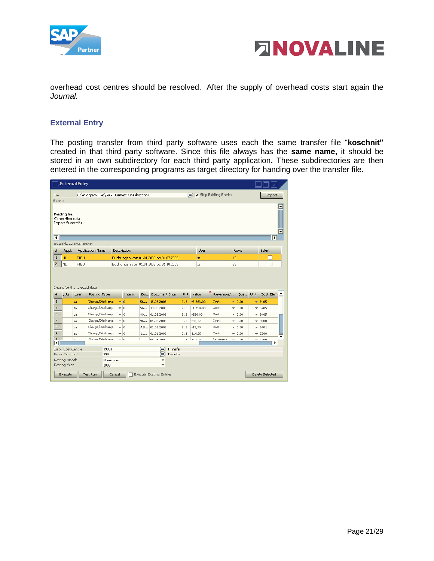



overhead cost centres should be resolved. After the supply of overhead costs start again the *Journal.*

#### <span id="page-20-0"></span>**External Entry**

The posting transfer from third party software uses each the same transfer file "**koschnit"**  created in that third party software. Since this file always has the **same name,** it should be stored in an own subdirectory for each third party application**.** These subdirectories are then entered in the corresponding programs as target directory for handing over the transfer file.

|                                   |                                                                       | <b>External Entry</b>         |                                            |                  |           |    |                                                                |                |             |                                                     |             |   |               |                            |
|-----------------------------------|-----------------------------------------------------------------------|-------------------------------|--------------------------------------------|------------------|-----------|----|----------------------------------------------------------------|----------------|-------------|-----------------------------------------------------|-------------|---|---------------|----------------------------|
| File                              |                                                                       |                               | C:\Program Files\SAP Business One\koschnit |                  |           |    |                                                                |                |             | $\equiv$ $\sqrt{\phantom{a}}$ Skip Existing Entries |             |   |               | Import                     |
| Events<br>$\overline{\mathbf{1}}$ | Reading file<br>Converting data<br><b>Import Successful</b>           |                               |                                            |                  |           |    |                                                                |                |             |                                                     |             |   |               | $\blacktriangle$<br>▼<br>▶ |
|                                   |                                                                       | Available external entries    |                                            |                  |           |    |                                                                |                |             |                                                     |             |   |               |                            |
| #                                 | Appl.                                                                 |                               | <b>Application Name</b>                    | Description      |           |    |                                                                |                | User        |                                                     | <b>Rows</b> |   | <b>Select</b> |                            |
| $\mathbf{1}$                      | <b>NL</b>                                                             | <b>FIBU</b>                   |                                            |                  |           |    | Buchungen von 01.01.2009 bis 31.07.2009                        |                | sa          |                                                     | 13          |   |               |                            |
| $\overline{2}$                    | <b>NL</b>                                                             | <b>FIBU</b>                   |                                            |                  |           |    | Buchungen von 01.01.2009 bis 31.10.2009                        |                | sa          |                                                     | 29          |   |               |                            |
|                                   |                                                                       |                               |                                            |                  |           |    |                                                                |                |             |                                                     |             |   |               |                            |
| #                                 | y As User                                                             | Details for the selected data | Posting Type                               |                  | Intern    | Do | Document Date                                                  | P <sub>P</sub> | Value       | Revenues/                                           | Qua Unit    |   |               | Cost Elem                  |
| $\mathbf{1}$                      |                                                                       | sa                            | Charge/Discharge                           | $\mathbf{v}$   0 |           | 56 | 15.03.2009                                                     | 2.3            | $-2,563,00$ | Costs                                               | $- 0.00$    |   | $= 3405$      |                            |
| 2                                 |                                                                       | sa                            | Charge/Discharge                           | $-10$            |           | 56 | 10.03.2009                                                     | 2.3            | $-1.750,00$ | Costs                                               | $- 0,00$    | ٠ | 3405          |                            |
| 3                                 |                                                                       | sa                            | Charge/Discharge                           | $-10$            |           | 89 | 01.03.2009                                                     | 2.3            | $-250,00$   | Costs                                               | $- 0.00$    | ▼ | 3405          |                            |
| 4                                 |                                                                       | sa                            | Charge/Discharge                           | $-10$            |           | 96 | 01.03.2009                                                     | 2.3            | $-68,37$    | Costs                                               | $= 0,00$    | ٠ | 4600          |                            |
| 5                                 |                                                                       | sa                            | Charge/Discharge                           | $-10$            |           |    | AB 01.03.2009                                                  | 2.3            | $-19.79$    | Costs                                               | $-0.00$     | ÷ | 3401          |                            |
| 6                                 |                                                                       | sa                            | Charge/Discharge                           | $-10$            |           | 11 | 01.01.2009                                                     | 2.1            | 114.95      | Costs                                               | $-0.00$     | ▼ | 3300          |                            |
| $\overline{z}$                    |                                                                       |                               | ChamadDirchama                             |                  | $-\alpha$ |    | 01.01.2000                                                     | $\sim$ $\sim$  | 100.02      | <b>Dovenuer</b>                                     | 0.00        |   | 0200          | $\overline{\phantom{a}}$   |
| $\overline{\mathbf{I}}$           | Error Cost Centre<br>Error Cost Unit<br>Posting Month<br>Posting Year |                               | 99999<br>999<br>2009                       | November         |           |    | Ε<br>Transfer<br>Transfer<br>Ξ<br>▼<br>$\overline{\mathbf{v}}$ |                |             |                                                     |             |   |               | $\overline{\phantom{a}}$   |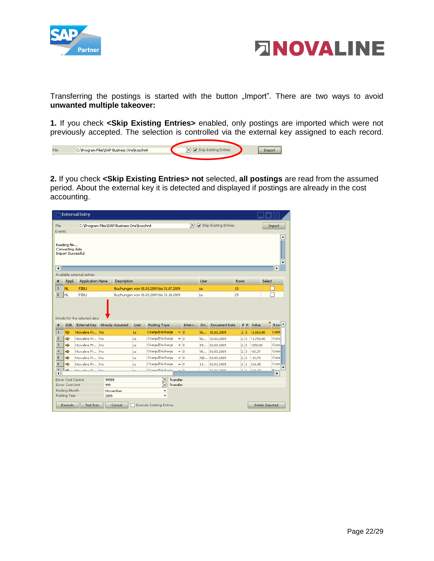



Transferring the postings is started with the button "Import". There are two ways to avoid **unwanted multiple takeover:**

**1.** If you check **<Skip Existing Entries>** enabled, only postings are imported which were not previously accepted. The selection is controlled via the external key assigned to each record.

| C:\Program Files\SAP Business One\koschnit | $\equiv$ $\sqrt{\phantom{a}}$ Skip Existing Entries |  |
|--------------------------------------------|-----------------------------------------------------|--|
|                                            |                                                     |  |

**2.** If you check **<Skip Existing Entries> not** selected, **all postings** are read from the assumed period. About the external key it is detected and displayed if postings are already in the cost accounting.

|                         |                                                                       | <b>External Entry</b>                         |                      |                 |             |                                                                 |                            |          |      |                       |             |                |             |        |                                               |
|-------------------------|-----------------------------------------------------------------------|-----------------------------------------------|----------------------|-----------------|-------------|-----------------------------------------------------------------|----------------------------|----------|------|-----------------------|-------------|----------------|-------------|--------|-----------------------------------------------|
| File                    |                                                                       | C:\Program Files\SAP Business One\koschnit    |                      |                 |             |                                                                 |                            | $\equiv$ |      | Skip Existing Entries |             |                |             |        | Import                                        |
| Events                  |                                                                       |                                               |                      |                 |             |                                                                 |                            |          |      |                       |             |                |             |        |                                               |
| $\overline{\mathbf{1}}$ | Reading file<br>Converting data<br><b>Import Successful</b>           |                                               |                      |                 |             |                                                                 |                            |          |      |                       |             |                |             |        | $\triangleq$<br>٠<br>$\overline{\phantom{a}}$ |
|                         |                                                                       | Available external entries                    |                      |                 |             |                                                                 |                            |          |      |                       |             |                |             |        |                                               |
| #                       | Appl.                                                                 | <b>Application Name</b>                       |                      | Description     |             |                                                                 |                            |          | User |                       | <b>Rows</b> |                |             | Select |                                               |
| $\mathbf 1$             | NL.                                                                   | <b>FIBU</b>                                   |                      |                 |             | Buchungen von 01.01.2009 bis 31.07.2009                         |                            |          | sa   |                       | 13          |                |             |        |                                               |
| $\overline{2}$          | Inl                                                                   | <b>FIBU</b>                                   |                      |                 |             | Buchungen von 01.01.2009 bis 31.10.2009                         |                            |          | sa   |                       | 29          |                |             |        |                                               |
|                         |                                                                       |                                               |                      |                 |             |                                                                 |                            |          |      |                       |             |                |             |        |                                               |
| #                       | Edit                                                                  | Details for the selected data<br>External Kev |                      | Already Assumed | <b>User</b> | Posting Type                                                    |                            | Intern   |      | Do Document Date      |             | P <sub>P</sub> | Value       |        | $Row^*$                                       |
| $\mathbf{1}$            | $\Rightarrow$                                                         | Novaline Fi No                                |                      |                 | sa          | Charge/Discharge                                                | $\mathbf{v}$ 0             |          | 56   | 15.03.2009            |             | 2.13           | $-2,563,00$ |        | Costs                                         |
| $\overline{2}$          | ⇨                                                                     | Novaline Fi No                                |                      |                 | sa          | Charge/Discharge                                                | $-10$                      |          | 56   | 10.03.2009            |             | 2.3            | $-1,750,00$ |        | Costs                                         |
| $\overline{3}$          | Ф                                                                     | Novaline Fi No                                |                      |                 | sa          | Charge/Discharge                                                | $\overline{\phantom{0}}$ 0 |          | 89   | 01.03.2009            |             | 2.3            | $-250,00$   |        | Costs                                         |
| $\overline{4}$          | $\Rightarrow$                                                         | Novaline Fi No                                |                      |                 | sa          | Charge/Discharge                                                | $-10$                      |          | 96   | 01.03.2009            |             | 2.3            | $-68,37$    |        | Costs                                         |
| 5                       | Ф                                                                     | Novaline Fi No                                |                      |                 | sa.         | Charge/Discharge                                                | $-10$                      |          |      | AB 01.03.2009         |             | 2.3            | $-19.79$    |        | Costs                                         |
| $\mathbf 6$             | Ф                                                                     | Novaline Fi                                   | No                   |                 | sa          | Charge/Discharge                                                | $\mathbf{v}$ 0             |          | 11   | 01.01.2009            |             | 2.1            | 114.95      |        | Costs                                         |
| $\overline{\mathbf{z}}$ | حد                                                                    | Klassicker of the                             | h La                 |                 |             | Champ Direhamo                                                  |                            | ە –      |      | of of hono            |             | $-1$           | 10000       |        | ▼<br>Dave                                     |
| ◥                       | Error Cost Centre<br>Error Cost Unit<br>Posting Month<br>Posting Year |                                               | 99999<br>999<br>2009 | November        |             | ▤<br>Transfer<br>Transfer<br>Ξ<br>v<br>$\overline{\phantom{a}}$ |                            |          |      |                       |             |                |             |        | $\blacktriangleright$                         |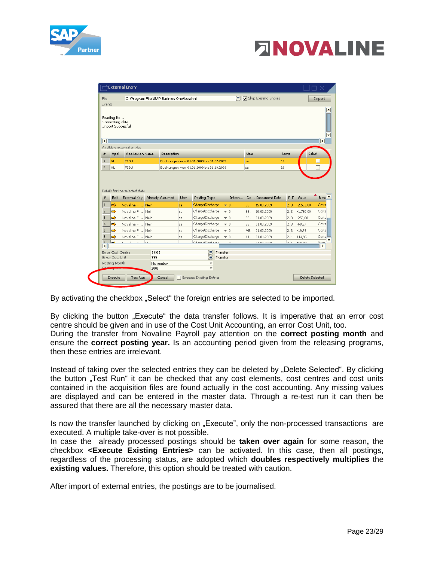

# **ENOVALINE**

| File                    |                                 | C:\Program Files\SAP Business One\koschnit |                |             |      |                                         |                 | (≡     |             | Skip Existing Entries |      |                |             | Import                              |
|-------------------------|---------------------------------|--------------------------------------------|----------------|-------------|------|-----------------------------------------|-----------------|--------|-------------|-----------------------|------|----------------|-------------|-------------------------------------|
| Events                  |                                 |                                            |                |             |      |                                         |                 |        |             |                       |      |                |             |                                     |
|                         | Reading file<br>Converting data |                                            |                |             |      |                                         |                 |        |             |                       |      |                |             |                                     |
|                         | <b>Import Successful</b>        |                                            |                |             |      |                                         |                 |        |             |                       |      |                |             |                                     |
| $\overline{\mathbf{1}}$ |                                 |                                            |                |             |      |                                         |                 |        |             |                       |      |                |             |                                     |
|                         |                                 | Available external entries                 |                |             |      |                                         |                 |        |             |                       |      |                |             |                                     |
| #                       | Appl.                           | <b>Application Name</b>                    |                | Description |      |                                         |                 |        | <b>User</b> |                       | Rows |                | Select      |                                     |
| $\mathbf{1}$            | <b>NL</b>                       | <b>FIBU</b>                                |                |             |      | Buchungen von 01.01.2009 bis 31.07.2009 |                 |        | sa          |                       | 13   |                |             |                                     |
| $\overline{2}$          | Inl                             | <b>FIBU</b>                                |                |             |      | Buchungen von 01.01.2009 bis 31.10.2009 |                 |        | sa          |                       | 29   |                |             |                                     |
|                         |                                 | Details for the selected data              |                |             |      |                                         |                 |        |             |                       |      |                |             |                                     |
| #                       | Edit                            | External Key Already Assumed               |                |             | User | Posting Type                            |                 | Intern |             | Do Document Date      |      | P <sub>P</sub> | Value       |                                     |
| $\mathbf{1}$            | $\Rightarrow$                   | Novaline Fi Nein                           |                |             | sa   | Charge/Discharge                        | $\frac{1}{2}$ 0 |        | 56          | 15,03,2009            |      | 2.3            | $-2,563,00$ |                                     |
| $\overline{2}$          | $\Rightarrow$                   | Novaline Fi Nein                           |                |             | sa   | Charge/Discharge                        | $-10$           |        | 56          | 10.03.2009            |      | 2.3            | $-1.750,00$ | Rev. <sup>4</sup><br>Costs<br>Costs |
| 3                       |                                 | Novaline Fi Nein                           |                |             | sa   | Charge/Discharge                        | $-10$           |        | 89          | 01.03.2009            |      | 2.3            | $-250,00$   |                                     |
| $\overline{4}$          | ⇨                               | Novaline Fi                                | Nein           |             | sa   | Charge/Discharge                        | $-10$           |        | 96          | 01.03.2009            |      | 2.3            | $-68.37$    |                                     |
| 5                       | ⇨                               | Novaline Fi Nein                           |                |             | sa   | Charge/Discharge                        | $-10$           |        |             | AB 01.03.2009         |      | 2.3            | $-19.79$    |                                     |
| 6                       |                                 | Novaline Fi Nein                           |                |             | sa   | Charge/Discharge                        | $-10$           |        | 11          | 01.01.2009            |      | 2.1            | 114,95      | Costs<br>Costs<br>Costs<br>Costs    |
| $\overline{\mathbf{z}}$ | дy,                             | Kingstellung mit                           | <b>Billian</b> |             |      | ChampelDirchamp                         |                 | ە -    |             | 01.01.2000            |      | $5 - 4$        | 100.02      | Davo<br>⊪                           |
| $\blacktriangleleft$    | Error Cost Centre               |                                            | 99999          |             |      | Ξ<br>Transfer                           |                 |        |             |                       |      |                |             |                                     |
|                         | Error Cost Unit                 |                                            | 999            |             |      | Ξ                                       | Transfer        |        |             |                       |      |                |             |                                     |
|                         | Posting Month                   |                                            | 2009           | November    |      | v<br>$\overline{\phantom{a}}$           |                 |        |             |                       |      |                |             |                                     |

By activating the checkbox "Select" the foreign entries are selected to be imported.

By clicking the button "Execute" the data transfer follows. It is imperative that an error cost centre should be given and in use of the Cost Unit Accounting, an error Cost Unit, too. During the transfer from Novaline Payroll pay attention on the **correct posting month** and ensure the **correct posting year.** Is an accounting period given from the releasing programs, then these entries are irrelevant.

Instead of taking over the selected entries they can be deleted by "Delete Selected". By clicking the button "Test Run" it can be checked that any cost elements, cost centres and cost units contained in the acquisition files are found actually in the cost accounting. Any missing values are displayed and can be entered in the master data. Through a re-test run it can then be assured that there are all the necessary master data.

Is now the transfer launched by clicking on "Execute", only the non-processed transactions are executed. A multiple take-over is not possible.

In case the already processed postings should be **taken over again** for some reason**,** the checkbox **<Execute Existing Entries>** can be activated. In this case, then all postings, regardless of the processing status, are adopted which **doubles respectively multiplies** the **existing values.** Therefore, this option should be treated with caution.

After import of external entries, the postings are to be journalised.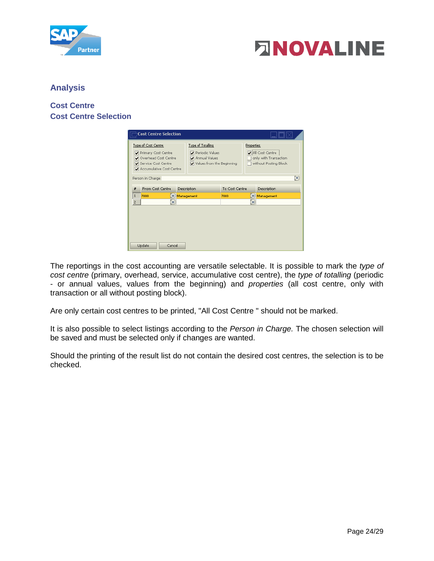



#### <span id="page-23-0"></span>**Analysis**

# <span id="page-23-2"></span><span id="page-23-1"></span>**Cost Centre Cost Centre Selection**

| <b>Cost Centre Selection</b>                                                                                               |                                                                                           |                |                                                                                        |   |
|----------------------------------------------------------------------------------------------------------------------------|-------------------------------------------------------------------------------------------|----------------|----------------------------------------------------------------------------------------|---|
| Type of Cost Centre<br>Primary Cost Centre<br>Overhead Cost Centre<br>▿<br>Service Cost Centre<br>Accumulative Cost Centre | <b>Type of Totalling</b><br>Periodic Values<br>Annual Values<br>Values from the Beginning |                | <b>Properties</b><br>All Cost Centre<br>only with Transaction<br>without Posting Block |   |
| Person in Charge                                                                                                           |                                                                                           |                |                                                                                        | ⊜ |
| <b>From Cost Centre</b><br>#                                                                                               | Description                                                                               | To Cost Centre | Description                                                                            |   |
| $\mathbf{1}$<br>7000<br>⊟                                                                                                  | Management                                                                                | 7000           | ■ Management                                                                           |   |
| 2<br>⊜                                                                                                                     |                                                                                           |                | ⊟                                                                                      |   |
| Update<br>Cancel                                                                                                           |                                                                                           |                |                                                                                        |   |

The reportings in the cost accounting are versatile selectable. It is possible to mark the *type of cost centre* (primary, overhead, service, accumulative cost centre), the *type of totalling* (periodic - or annual values, values from the beginning) and *properties* (all cost centre, only with transaction or all without posting block).

Are only certain cost centres to be printed, "All Cost Centre " should not be marked.

It is also possible to select listings according to the *Person in Charge.* The chosen selection will be saved and must be selected only if changes are wanted.

Should the printing of the result list do not contain the desired cost centres, the selection is to be checked.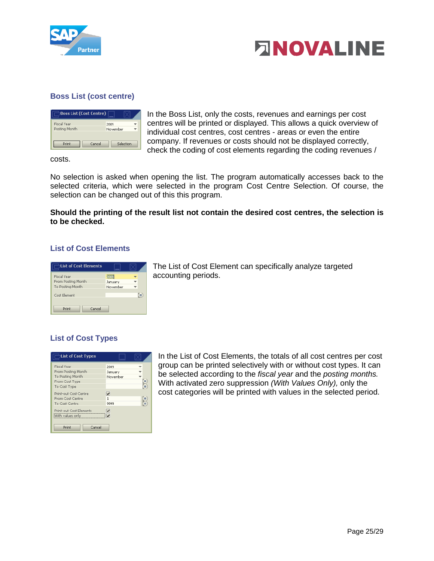



# <span id="page-24-0"></span>**Boss List (cost centre)**

| Boss List (Cost Centre) |           |  |
|-------------------------|-----------|--|
| Fiscal Year             | 2009      |  |
| Posting Month           | November  |  |
| Cancel<br>Print         | Selection |  |

In the Boss List, only the costs, revenues and earnings per cost centres will be printed or displayed. This allows a quick overview of individual cost centres, cost centres - areas or even the entire company. If revenues or costs should not be displayed correctly, check the coding of cost elements regarding the coding revenues /

costs.

No selection is asked when opening the list. The program automatically accesses back to the selected criteria, which were selected in the program Cost Centre Selection. Of course, the selection can be changed out of this this program.

**Should the printing of the result list not contain the desired cost centres, the selection is to be checked.**

#### <span id="page-24-1"></span>**List of Cost Elements**

| List of Cost Elements |          |   |
|-----------------------|----------|---|
| Fiscal Year           | 2009     |   |
| From Posting Month    | January  |   |
| To Posting Month      | November |   |
| Cost Element          |          | ⋹ |
| Cancel<br>Print       |          |   |

The List of Cost Element can specifically analyze targeted accounting periods.

# <span id="page-24-2"></span>**List of Cost Types**

| List of Cost Types                          |                                                    |   |
|---------------------------------------------|----------------------------------------------------|---|
| <b>Fiscal Year</b>                          | 2009                                               |   |
| From Posting Month                          | Januarv                                            |   |
| To Posting Month                            | November                                           |   |
| From Cost Type                              |                                                    | ≣ |
| To Cost Type                                |                                                    | ⋹ |
| Print-out Cost Centre                       | $\overline{\mathbf{v}}$                            |   |
| From Cost Centre                            | 1                                                  | 9 |
| To Cost Centre                              | 9999                                               |   |
| Print-out Cost Elements<br>With values only | $\overline{\mathbf{v}}$<br>$\overline{\mathbf{v}}$ |   |
| Cancel<br>Print                             |                                                    |   |

In the List of Cost Elements, the totals of all cost centres per cost group can be printed selectively with or without cost types. It can be selected according to the *fiscal year* and the *posting months.*  With activated zero suppression *(With Values Only),* only the cost categories will be printed with values in the selected period.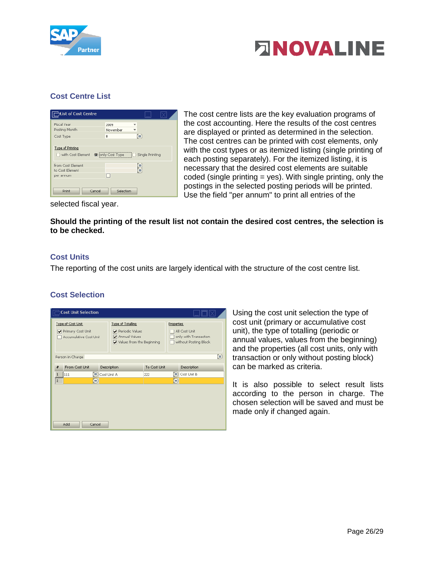



# <span id="page-25-0"></span>**Cost Centre List**

| tist of Cost Centre                               |                             |                 |
|---------------------------------------------------|-----------------------------|-----------------|
| <b>Fiscal Year</b><br>Posting Month               | 2009<br>November            |                 |
| Cost Type                                         | $\theta$                    | ⊜               |
| <b>Type of Printing</b><br>with Cost Element      | O jonly Cost Type<br>$\Box$ | Single Printing |
| from Cost Element<br>to Cost Element<br>per annum | H                           | 5               |
| Cancel<br>Print                                   | Selection                   |                 |

The cost centre lists are the key evaluation programs of the cost accounting. Here the results of the cost centres are displayed or printed as determined in the selection. The cost centres can be printed with cost elements, only with the cost types or as itemized listing (single printing of each posting separately). For the itemized listing, it is necessary that the desired cost elements are suitable coded (single printing  $=$  yes). With single printing, only the postings in the selected posting periods will be printed. Use the field "per annum" to print all entries of the

selected fiscal year.

**Should the printing of the result list not contain the desired cost centres, the selection is to be checked.**

#### <span id="page-25-1"></span>**Cost Units**

The reporting of the cost units are largely identical with the structure of the cost centre list.

#### <span id="page-25-2"></span>**Cost Selection**

| <b>Cost Unit Selection</b>                                              |                                                                                           |              |                                                                                      |   |
|-------------------------------------------------------------------------|-------------------------------------------------------------------------------------------|--------------|--------------------------------------------------------------------------------------|---|
| <b>Type of Cost Unit</b><br>Primary Cost Unit<br>Accumulative Cost Unit | <b>Type of Totalling</b><br>Periodic Values<br>Annual Values<br>Values from the Beginning |              | <b>Properties</b><br>All Cost Unit<br>only with Transaction<br>without Posting Block |   |
| Person in Charge                                                        |                                                                                           |              |                                                                                      | ⊜ |
| From Cost Unit<br>#                                                     | Description                                                                               | To Cost Unit | Description                                                                          |   |
| $\equiv$ Cost Unit A<br>111<br>$\mathbf{1}$                             |                                                                                           | 222          | Cost Unit B<br>$\equiv$                                                              |   |
| $\overline{z}$<br>⊜                                                     |                                                                                           |              | ⊜                                                                                    |   |
|                                                                         |                                                                                           |              |                                                                                      |   |
| Add<br>Cancel                                                           |                                                                                           |              |                                                                                      |   |

Using the cost unit selection the type of cost unit (primary or accumulative cost unit), the type of totalling (periodic or annual values, values from the beginning) and the properties (all cost units, only with transaction or only without posting block) can be marked as criteria.

It is also possible to select result lists according to the person in charge. The chosen selection will be saved and must be made only if changed again.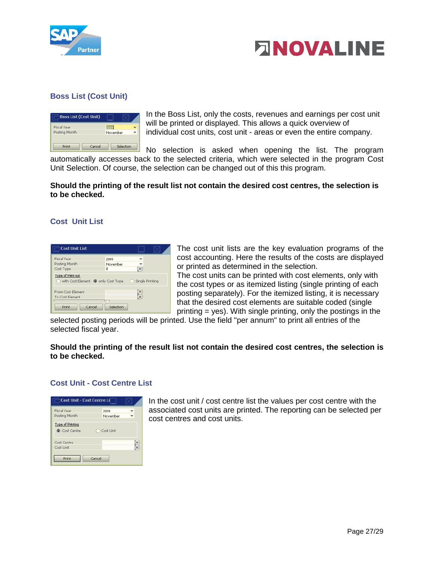



# <span id="page-26-0"></span>**Boss List (Cost Unit)**

| Boss List (Cost Unit) |        |          |           |
|-----------------------|--------|----------|-----------|
| <b>Fiscal Year</b>    |        | 2009     |           |
| Posting Month         |        | November |           |
|                       |        |          |           |
| Print                 | Cancel |          | Selection |

In the Boss List, only the costs, revenues and earnings per cost unit will be printed or displayed. This allows a quick overview of individual cost units, cost unit - areas or even the entire company.

No selection is asked when opening the list. The program automatically accesses back to the selected criteria, which were selected in the program Cost Unit Selection. Of course, the selection can be changed out of this this program.

**Should the printing of the result list not contain the desired cost centres, the selection is to be checked.**

#### <span id="page-26-1"></span>**Cost Unit List**

| <b>Cost Unit List</b>                                     |                            |
|-----------------------------------------------------------|----------------------------|
| Fiscal Year<br>Posting Month<br>Cost Type                 | 2009<br>November<br>⊟<br>n |
| Type of Print-out<br>with Cost Element (O) only Cost Type | ◯ Single Printing          |
| From Cost Element<br>To Cost Element                      | Ē                          |
| Cancel<br>Print                                           | Selection                  |

The cost unit lists are the key evaluation programs of the cost accounting. Here the results of the costs are displayed or printed as determined in the selection. The cost units can be printed with cost elements, only with the cost types or as itemized listing (single printing of each

posting separately). For the itemized listing, it is necessary that the desired cost elements are suitable coded (single printing = yes). With single printing, only the postings in the

selected posting periods will be printed. Use the field "per annum" to print all entries of the selected fiscal year.

#### **Should the printing of the result list not contain the desired cost centres, the selection is to be checked.**

#### <span id="page-26-2"></span>**Cost Unit - Cost Centre List**

| <b>Cost Unit - Cost Centre Li</b> |           |   |
|-----------------------------------|-----------|---|
| <b>Fiscal Year</b>                | 2009      |   |
| Posting Month                     | November  |   |
| Type of Printing<br>(Cost Centre  | Cost Unit |   |
| Cost Centre                       |           | Î |
| Cost Unit                         |           |   |
| Print                             | Cancel    |   |

In the cost unit / cost centre list the values per cost centre with the associated cost units are printed. The reporting can be selected per cost centres and cost units.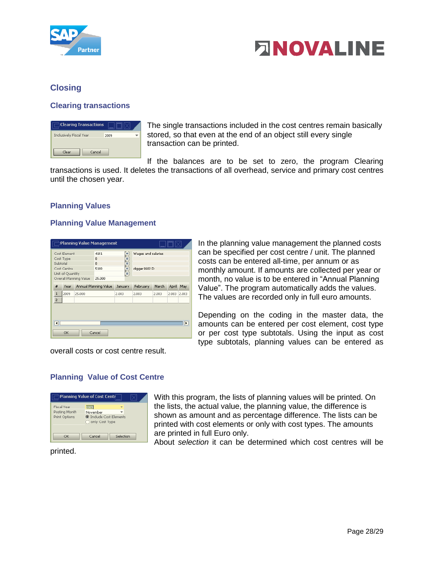



# <span id="page-27-0"></span>**Closing**

#### <span id="page-27-1"></span>**Clearing transactions**

| <b>Clearing Transactions</b>   |      |  |
|--------------------------------|------|--|
| <b>Inclusively Fiscal Year</b> | 2009 |  |
| Clear<br>Cancel                |      |  |

The single transactions included in the cost centres remain basically stored, so that even at the end of an object still every single transaction can be printed.

If the balances are to be set to zero, the program Clearing transactions is used. It deletes the transactions of all overhead, service and primary cost centres until the chosen year.

#### <span id="page-27-2"></span>**Planning Values**

#### <span id="page-27-3"></span>**Planning Value Management**

| Planning Value Management<br>الـــا ا الـــا |                  |                        |                       |         |               |              |       |       |
|----------------------------------------------|------------------|------------------------|-----------------------|---------|---------------|--------------|-------|-------|
| Cost Element<br>4101                         |                  | Ξ                      | Wages and salaries    |         |               |              |       |       |
|                                              | Cost Type        |                        | $\bf{0}$              |         |               |              |       |       |
|                                              | Subtotal         |                        | $\bf{0}$              |         |               |              |       |       |
|                                              | Cost Centre      |                        | u<br>O<br>5100        |         | digger 1602 D |              |       |       |
|                                              | Unit of Quantity |                        |                       | Ξ       |               |              |       |       |
|                                              |                  | Overall Planning Value | 25,000                |         |               |              |       |       |
| #                                            | Year             |                        | Annual Planning Value | January | February      | <b>March</b> | April | May   |
| $\mathbf{1}$                                 | 2009             | 25,000                 |                       | 2.083   | 2.083         | 2.083        | 2.083 | 2.083 |
| $\overline{2}$                               |                  |                        |                       |         |               |              |       |       |
| −                                            | OK               |                        | Cancel                |         |               |              |       | ⊪     |

In the planning value management the planned costs can be specified per cost centre / unit. The planned costs can be entered all-time, per annum or as monthly amount. If amounts are collected per year or month, no value is to be entered in "Annual Planning Value". The program automatically adds the values. The values are recorded only in full euro amounts.

Depending on the coding in the master data, the amounts can be entered per cost element, cost type or per cost type subtotals. Using the input as cost type subtotals, planning values can be entered as

overall costs or cost centre result.

# <span id="page-27-4"></span>**Planning Value of Cost Centre**



With this program, the lists of planning values will be printed. On the lists, the actual value, the planning value, the difference is shown as amount and as percentage difference. The lists can be printed with cost elements or only with cost types. The amounts are printed in full Euro only.

About *selection* it can be determined which cost centres will be

#### printed.